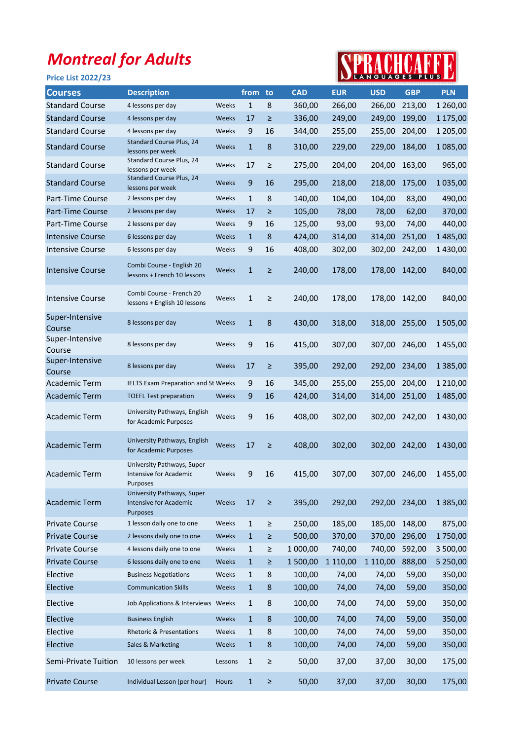## Montreal for Adults

## Price List 2022/23



| <b>Courses</b>            | <b>Description</b>                                                      |         | from         | to      | <b>CAD</b> | <b>EUR</b> | <b>USD</b>    | <b>GBP</b>    | <b>PLN</b>    |
|---------------------------|-------------------------------------------------------------------------|---------|--------------|---------|------------|------------|---------------|---------------|---------------|
| <b>Standard Course</b>    | 4 lessons per day                                                       | Weeks   | $\mathbf{1}$ | 8       | 360,00     | 266,00     | 266,00        | 213,00        | 1 260,00      |
| <b>Standard Course</b>    | 4 lessons per day                                                       | Weeks   | 17           | $\geq$  | 336,00     | 249,00     | 249,00        | 199,00        | 1 175,00      |
| <b>Standard Course</b>    | 4 lessons per day                                                       | Weeks   | 9            | 16      | 344,00     | 255,00     | 255,00        | 204,00        | 1 205,00      |
| <b>Standard Course</b>    | Standard Course Plus, 24<br>lessons per week                            | Weeks   | $\mathbf{1}$ | 8       | 310,00     | 229,00     | 229,00        | 184,00        | 1085,00       |
| <b>Standard Course</b>    | Standard Course Plus, 24<br>lessons per week                            | Weeks   | 17           | ≥       | 275,00     | 204,00     | 204,00        | 163,00        | 965,00        |
| <b>Standard Course</b>    | <b>Standard Course Plus, 24</b><br>lessons per week                     | Weeks   | 9            | 16      | 295,00     | 218,00     | 218,00        | 175,00        | 1035,00       |
| Part-Time Course          | 2 lessons per day                                                       | Weeks   | $\mathbf{1}$ | 8       | 140,00     | 104,00     | 104,00        | 83,00         | 490,00        |
| <b>Part-Time Course</b>   | 2 lessons per day                                                       | Weeks   | 17           | ≥       | 105,00     | 78,00      | 78,00         | 62,00         | 370,00        |
| Part-Time Course          | 2 lessons per day                                                       | Weeks   | 9            | 16      | 125,00     | 93,00      | 93,00         | 74,00         | 440,00        |
| <b>Intensive Course</b>   | 6 lessons per day                                                       | Weeks   | $\mathbf{1}$ | 8       | 424,00     | 314,00     | 314,00        | 251,00        | 1485,00       |
| <b>Intensive Course</b>   | 6 lessons per day                                                       | Weeks   | 9            | 16      | 408,00     | 302,00     | 302,00        | 242,00        | 1430,00       |
| <b>Intensive Course</b>   | Combi Course - English 20<br>lessons + French 10 lessons                | Weeks   | $\mathbf{1}$ | $\geq$  | 240,00     | 178,00     | 178,00        | 142,00        | 840,00        |
| Intensive Course          | Combi Course - French 20<br>lessons + English 10 lessons                | Weeks   | $\mathbf{1}$ | $\geq$  | 240,00     | 178,00     | 178,00        | 142,00        | 840,00        |
| Super-Intensive<br>Course | 8 lessons per day                                                       | Weeks   | $\mathbf{1}$ | 8       | 430,00     | 318,00     | 318,00        | 255,00        | 1505,00       |
| Super-Intensive<br>Course | 8 lessons per day                                                       | Weeks   | 9            | 16      | 415,00     | 307,00     | 307,00        | 246,00        | 1455,00       |
| Super-Intensive<br>Course | 8 lessons per day                                                       | Weeks   | 17           | $\geq$  | 395,00     | 292,00     | 292,00        | 234,00        | 1 3 8 5 , 0 0 |
| Academic Term             | <b>IELTS Exam Preparation and St Weeks</b>                              |         | 9            | 16      | 345,00     | 255,00     | 255,00        | 204,00        | 1 2 1 0,00    |
| <b>Academic Term</b>      | <b>TOEFL Test preparation</b>                                           | Weeks   | 9            | 16      | 424,00     | 314,00     | 314,00        | 251,00        | 1485,00       |
| Academic Term             | University Pathways, English<br>for Academic Purposes                   | Weeks   | 9            | 16      | 408,00     | 302,00     | 302,00        | 242,00        | 1430,00       |
| <b>Academic Term</b>      | University Pathways, English<br>for Academic Purposes                   | Weeks   | 17           | $\geq$  | 408,00     | 302,00     | 302,00 242,00 |               | 1430,00       |
| Academic Term             | University Pathways, Super<br><b>Intensive for Academic</b><br>Purposes | Weeks   | 9            | 16      | 415,00     | 307,00     | 307,00        | 246,00        | 1455,00       |
| <b>Academic Term</b>      | University Pathways, Super<br><b>Intensive for Academic</b><br>Purposes | Weeks   | 17           | $\geq$  | 395,00     | 292,00     |               | 292,00 234,00 | 1 3 8 5 , 0 0 |
| <b>Private Course</b>     | 1 lesson daily one to one                                               | Weeks   | $\mathbf{1}$ | $\geq$  | 250,00     | 185,00     | 185,00        | 148,00        | 875,00        |
| <b>Private Course</b>     | 2 lessons daily one to one                                              | Weeks   | $\mathbf{1}$ | $\geq$  | 500,00     | 370,00     | 370,00        | 296,00        | 1750,00       |
| <b>Private Course</b>     | 4 lessons daily one to one                                              | Weeks   | $\mathbf{1}$ | $\geq$  | 1 000,00   | 740,00     | 740,00        | 592,00        | 3 500,00      |
| <b>Private Course</b>     | 6 lessons daily one to one                                              | Weeks   | $\mathbf{1}$ | ≥       | 1 500,00   | 1 110,00   | 1 1 1 0 ,00   | 888,00        | 5 250,00      |
| Elective                  | <b>Business Negotiations</b>                                            | Weeks   | 1            | 8       | 100,00     | 74,00      | 74,00         | 59,00         | 350,00        |
| Elective                  | <b>Communication Skills</b>                                             | Weeks   | $\mathbf{1}$ | $\bf 8$ | 100,00     | 74,00      | 74,00         | 59,00         | 350,00        |
| Elective                  | Job Applications & Interviews Weeks                                     |         | $\mathbf{1}$ | 8       | 100,00     | 74,00      | 74,00         | 59,00         | 350,00        |
| Elective                  | <b>Business English</b>                                                 | Weeks   | $\mathbf{1}$ | $\bf 8$ | 100,00     | 74,00      | 74,00         | 59,00         | 350,00        |
| Elective                  | <b>Rhetoric &amp; Presentations</b>                                     | Weeks   | $\mathbf{1}$ | 8       | 100,00     | 74,00      | 74,00         | 59,00         | 350,00        |
| Elective                  | Sales & Marketing                                                       | Weeks   | $\mathbf{1}$ | 8       | 100,00     | 74,00      | 74,00         | 59,00         | 350,00        |
| Semi-Private Tuition      | 10 lessons per week                                                     | Lessons | $\mathbf{1}$ | $\geq$  | 50,00      | 37,00      | 37,00         | 30,00         | 175,00        |
| <b>Private Course</b>     | Individual Lesson (per hour)                                            | Hours   | $\mathbf{1}$ | ≥       | 50,00      | 37,00      | 37,00         | 30,00         | 175,00        |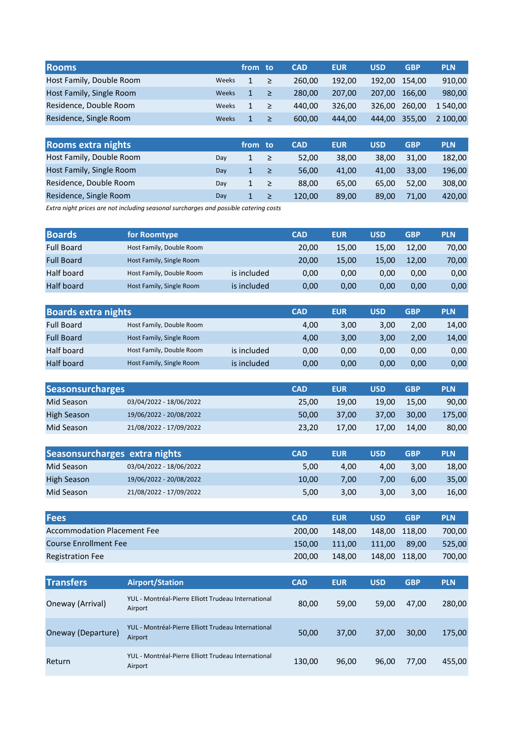| <b>Rooms</b>             |              | from to      |        | <b>CAD</b> | <b>EUR</b> | USD    | <b>GBP</b> | <b>PLN</b> |
|--------------------------|--------------|--------------|--------|------------|------------|--------|------------|------------|
| Host Family, Double Room | Weeks        | $\mathbf{1}$ | ∕ ≥∕   | 260.00     | 192.00     | 192.00 | 154.00     | 910,00     |
| Host Family, Single Room | Weeks        | $\mathbf{1}$ | ∕ ≥∕   | 280.00     | 207.00     | 207.00 | 166.00     | 980,00     |
| Residence, Double Room   | Weeks        | 1            | $\geq$ | 440.00     | 326.00     | 326.00 | 260.00     | 1 540,00   |
| Residence, Single Room   | <b>Weeks</b> | $\mathbf{1}$ | ≥      | 600.00     | 444.00     | 444.00 | 355,00     | 2 100,00   |

| <b>Rooms extra nights</b> |     | from to      |        | <b>CAD</b> | <b>EUR</b> | <b>USD</b> | <b>GBP</b> | <b>PLN</b> |
|---------------------------|-----|--------------|--------|------------|------------|------------|------------|------------|
| Host Family, Double Room  | Dav |              | ≥      | 52.00      | 38.00      | 38.00      | 31.00      | 182,00     |
| Host Family, Single Room  | Dav |              | ≥      | 56.00      | 41.00      | 41.00      | 33.00      | 196,00     |
| Residence, Double Room    | Dav | $\mathbf{1}$ | $\geq$ | 88.00      | 65.00      | 65.00      | 52.00      | 308.00     |
| Residence, Single Room    | Dav |              | ≥      | 120.00     | 89.00      | 89.00      | 71.00      | 420.00     |

Extra night prices are not including seasonal surcharges and possible catering costs

| <b>Boards</b>     | for Roomtype             |             | <b>CAD</b> | <b>EUR</b> | USD   | <b>GBP</b> | <b>PLN</b> |
|-------------------|--------------------------|-------------|------------|------------|-------|------------|------------|
| <b>Full Board</b> | Host Family, Double Room |             | 20,00      | 15,00      | 15.00 | 12.00      | 70,00      |
| <b>Full Board</b> | Host Family, Single Room |             | 20.00      | 15.00      | 15.00 | 12.00      | 70,00      |
| Half board        | Host Family, Double Room | is included | 0.00       | 0,00       | 0.00  | 0.00       | 0,00       |
| <b>Half board</b> | Host Family, Single Room | is included | 0,00       | 0,00       | 0,00  | 0,00       | 0,00       |

| <b>Boards extra nights</b> |                          |             | <b>CAD</b> | <b>EUR</b> | USD  | <b>GBP</b> | <b>PLN</b> |
|----------------------------|--------------------------|-------------|------------|------------|------|------------|------------|
| <b>Full Board</b>          | Host Family, Double Room |             | 4,00       | 3,00       | 3.00 | 2.00       | 14,00      |
| <b>Full Board</b>          | Host Family, Single Room |             | 4.00       | 3,00       | 3.00 | 2,00       | 14,00      |
| Half board                 | Host Family, Double Room | is included | 0.00       | 0,00       | 0.00 | 0.00       | 0,00       |
| <b>Half board</b>          | Host Family, Single Room | is included | 0,00       | 0,00       | 0.00 | 0.00       | 0,00       |

| <b>Seasonsurcharges</b> |                         | <b>CAD</b> | <b>EUR</b> | USD   | <b>GBP</b> | <b>PLN</b> |
|-------------------------|-------------------------|------------|------------|-------|------------|------------|
| Mid Season              | 03/04/2022 - 18/06/2022 | 25.00      | 19.00      | 19.00 | 15.00      | 90,00      |
| <b>High Season</b>      | 19/06/2022 - 20/08/2022 | 50.00      | 37.00      | 37.00 | 30.00      | 175.00     |
| Mid Season              | 21/08/2022 - 17/09/2022 | 23.20      | 17.00      | 17.00 | 14.00      | 80,00      |

| Seasonsurcharges extra nights |                         | <b>CAD</b> | <b>EUR</b>        | USD  | <b>GBP</b> | <b>PLN</b> |
|-------------------------------|-------------------------|------------|-------------------|------|------------|------------|
| Mid Season                    | 03/04/2022 - 18/06/2022 | 5.00       | 4.00              | 4.00 | 3.00       | 18,00      |
| <b>High Season</b>            | 19/06/2022 - 20/08/2022 | 10.00      | 7.00 <sub>1</sub> | 7.00 | 6.00       | 35,00      |
| Mid Season                    | 21/08/2022 - 17/09/2022 | 5,00       | 3.00              | 3.00 | 3.00       | 16,00      |

| <b>Fees</b>                        | <b>CAD</b> | <b>EUR</b> | <b>USD</b> | <b>GBP</b>    | <b>PLN</b> |
|------------------------------------|------------|------------|------------|---------------|------------|
| <b>Accommodation Placement Fee</b> | 200.00     | 148.00     |            | 148.00 118.00 | 700,00     |
| <b>Course Enrollment Fee</b>       | 150.00     | 111.00     | 111.00     | 89.00         | 525.00     |
| <b>Registration Fee</b>            | 200.00     | 148.00     |            | 148,00 118,00 | 700.00     |

| <b>Transfers</b>   | <b>Airport/Station</b>                                         | <b>CAD</b> | <b>EUR</b> | <b>USD</b> | <b>GBP</b> | <b>PLN</b> |
|--------------------|----------------------------------------------------------------|------------|------------|------------|------------|------------|
| Oneway (Arrival)   | YUL - Montréal-Pierre Elliott Trudeau International<br>Airport | 80,00      | 59,00      | 59,00      | 47.00      | 280,00     |
| Oneway (Departure) | YUL - Montréal-Pierre Elliott Trudeau International<br>Airport | 50,00      | 37.00      | 37,00      | 30,00      | 175,00     |
| Return             | YUL - Montréal-Pierre Elliott Trudeau International<br>Airport | 130,00     | 96,00      | 96,00      | 77,00      | 455,00     |